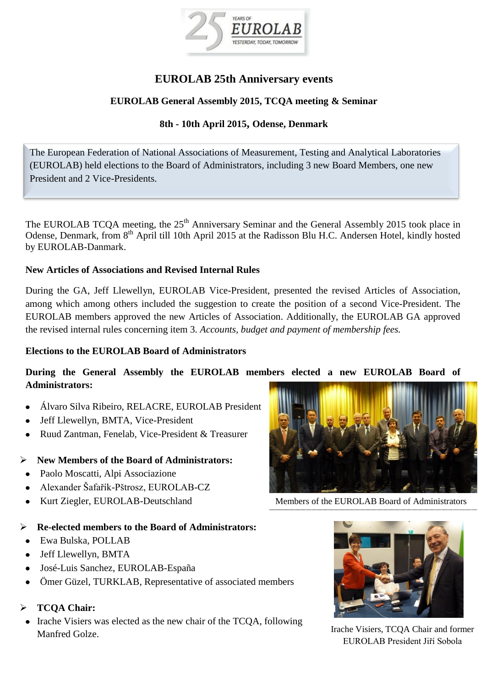

# **EUROLAB 25th Anniversary events**

### **EUROLAB General Assembly 2015, TCQA meeting & Seminar**

## **8th - 10th April 2015, Odense, Denmark**

The European Federation of National Associations of Measurement, Testing and Analytical Laboratories (EUROLAB) held elections to the Board of Administrators, including 3 new Board Members, one new President and 2 Vice-Presidents.

The EUROLAB TCQA meeting, the 25<sup>th</sup> Anniversary Seminar and the General Assembly 2015 took place in Odense, Denmark, from 8<sup>th</sup> April till 10th April 2015 at the Radisson Blu H.C. Andersen Hotel, kindly hosted by EUROLAB-Danmark.

#### **New Articles of Associations and Revised Internal Rules**

During the GA, Jeff Llewellyn, EUROLAB Vice-President, presented the revised Articles of Association, among which among others included the suggestion to create the position of a second Vice-President. The EUROLAB members approved the new Articles of Association. Additionally, the EUROLAB GA approved the revised internal rules concerning item 3. *Accounts, budget and payment of membership fees.*

#### **Elections to the EUROLAB Board of Administrators**

### **During the General Assembly the EUROLAB members elected a new EUROLAB Board of Administrators:**

- Álvaro Silva Ribeiro, RELACRE, EUROLAB President
- Jeff Llewellyn, BMTA, Vice-President
- Ruud Zantman, Fenelab, Vice-President & Treasurer  $\bullet$

### **New Members of the Board of Administrators:**

- Paolo Moscatti, Alpi Associazione
- Alexander Šafařík-Pštrosz, EUROLAB-CZ
- Kurt Ziegler, EUROLAB-Deutschland  $\bullet$

#### **Re-elected members to the Board of Administrators:**

- Ewa Bulska, POLLAB
- Jeff Llewellyn, BMTA
- José-Luis Sanchez, EUROLAB-España
- Ömer Güzel, TURKLAB, Representative of associated members

### **TCQA Chair:**

• Irache Visiers was elected as the new chair of the TCOA, following Manfred Golze.



Members of the EUROLAB Board of Administrators



Irache Visiers, TCQA Chair and former EUROLAB President Jiří Sobola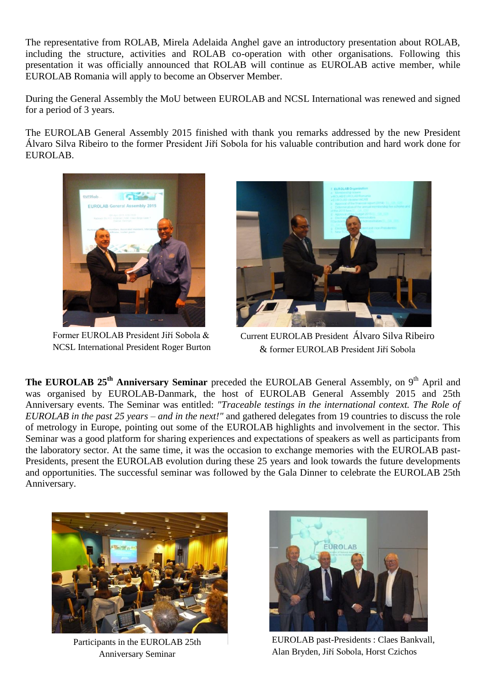The representative from ROLAB, Mirela Adelaida Anghel gave an introductory presentation about ROLAB, including the structure, activities and ROLAB co-operation with other organisations. Following this presentation it was officially announced that ROLAB will continue as EUROLAB active member, while EUROLAB Romania will apply to become an Observer Member.

During the General Assembly the MoU between EUROLAB and NCSL International was renewed and signed for a period of 3 years.

The EUROLAB General Assembly 2015 finished with thank you remarks addressed by the new President Álvaro Silva Ribeiro to the former President Jiří Sobola for his valuable contribution and hard work done for EUROLAB.



Former EUROLAB President Jiří Sobola & NCSL International President Roger Burton



Current EUROLAB President Álvaro Silva Ribeiro & former EUROLAB President Jiří Sobola

**The EUROLAB** 25<sup>th</sup> **Anniversary Seminar** preceded the EUROLAB General Assembly, on 9<sup>th</sup> April and was organised by EUROLAB-Danmark, the host of EUROLAB General Assembly 2015 and 25th Anniversary events. The Seminar was entitled: *"Traceable testings in the international context. The Role of EUROLAB in the past 25 years – and in the next!"* and gathered delegates from 19 countries to discuss the role of metrology in Europe, pointing out some of the EUROLAB highlights and involvement in the sector. This Seminar was a good platform for sharing experiences and expectations of speakers as well as participants from the laboratory sector. At the same time, it was the occasion to exchange memories with the EUROLAB past-Presidents, present the EUROLAB evolution during these 25 years and look towards the future developments and opportunities. The successful seminar was followed by the Gala Dinner to celebrate the EUROLAB 25th Anniversary.



Participants in the EUROLAB 25th Anniversary Seminar



EUROLAB past-Presidents : Claes Bankvall, Alan Bryden, Jiří Sobola, Horst Czichos